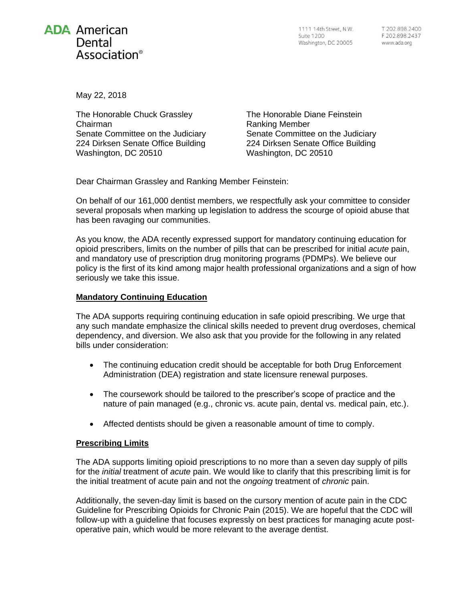

1111 14th Street, N.W. Suite 1200 Washington, DC 20005

May 22, 2018

The Honorable Chuck Grassley Chairman Senate Committee on the Judiciary 224 Dirksen Senate Office Building Washington, DC 20510

The Honorable Diane Feinstein Ranking Member Senate Committee on the Judiciary 224 Dirksen Senate Office Building Washington, DC 20510

Dear Chairman Grassley and Ranking Member Feinstein:

On behalf of our 161,000 dentist members, we respectfully ask your committee to consider several proposals when marking up legislation to address the scourge of opioid abuse that has been ravaging our communities.

As you know, the ADA recently expressed support for mandatory continuing education for opioid prescribers, limits on the number of pills that can be prescribed for initial *acute* pain, and mandatory use of prescription drug monitoring programs (PDMPs). We believe our policy is the first of its kind among major health professional organizations and a sign of how seriously we take this issue.

## **Mandatory Continuing Education**

The ADA supports requiring continuing education in safe opioid prescribing. We urge that any such mandate emphasize the clinical skills needed to prevent drug overdoses, chemical dependency, and diversion. We also ask that you provide for the following in any related bills under consideration:

- The continuing education credit should be acceptable for both Drug Enforcement Administration (DEA) registration and state licensure renewal purposes.
- The coursework should be tailored to the prescriber's scope of practice and the nature of pain managed (e.g., chronic vs. acute pain, dental vs. medical pain, etc.).
- Affected dentists should be given a reasonable amount of time to comply.

## **Prescribing Limits**

The ADA supports limiting opioid prescriptions to no more than a seven day supply of pills for the *initial* treatment of *acute* pain. We would like to clarify that this prescribing limit is for the initial treatment of acute pain and not the *ongoing* treatment of *chronic* pain.

Additionally, the seven-day limit is based on the cursory mention of acute pain in the CDC Guideline for Prescribing Opioids for Chronic Pain (2015). We are hopeful that the CDC will follow-up with a guideline that focuses expressly on best practices for managing acute postoperative pain, which would be more relevant to the average dentist.